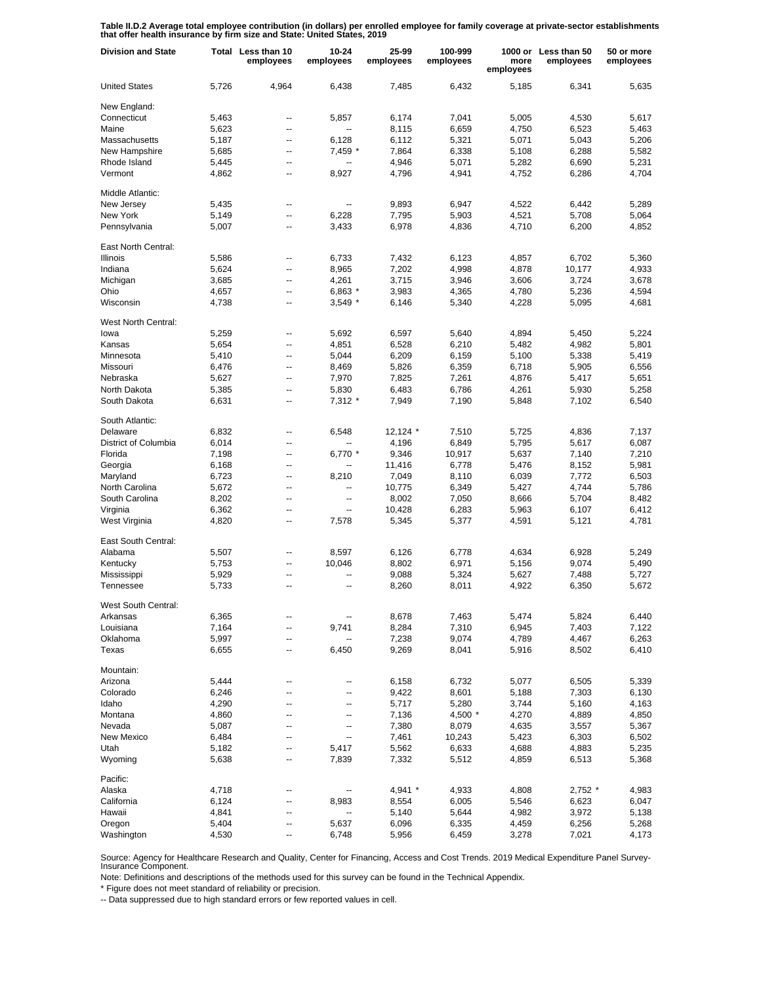**Table II.D.2 Average total employee contribution (in dollars) per enrolled employee for family coverage at private-sector establishments that offer health insurance by firm size and State: United States, 2019**

| <b>Division and State</b>  | Total | Less than 10<br>employees | $10 - 24$<br>employees | 25-99<br>employees | 100-999<br>employees | more<br>employees | 1000 or Less than 50<br>employees | 50 or more<br>employees |
|----------------------------|-------|---------------------------|------------------------|--------------------|----------------------|-------------------|-----------------------------------|-------------------------|
| <b>United States</b>       | 5,726 | 4,964                     | 6,438                  | 7,485              | 6,432                | 5,185             | 6,341                             | 5,635                   |
| New England:               |       |                           |                        |                    |                      |                   |                                   |                         |
| Connecticut                | 5,463 | --                        | 5,857                  | 6,174              | 7,041                | 5,005             | 4,530                             | 5,617                   |
| Maine                      | 5,623 | $\overline{\phantom{a}}$  |                        | 8,115              | 6,659                | 4,750             | 6,523                             | 5,463                   |
| Massachusetts              | 5,187 | $\overline{a}$            | 6,128                  | 6,112              | 5,321                | 5,071             | 5,043                             | 5,206                   |
| New Hampshire              | 5,685 | ۰.                        | 7,459 *                | 7,864              | 6,338                | 5,108             | 6,288                             | 5,582                   |
| Rhode Island               | 5,445 | --                        | --                     | 4,946              | 5,071                | 5,282             | 6,690                             | 5,231                   |
| Vermont                    | 4,862 | $\overline{\phantom{a}}$  | 8,927                  | 4,796              | 4,941                | 4,752             | 6,286                             | 4,704                   |
| Middle Atlantic:           |       |                           |                        |                    |                      |                   |                                   |                         |
| New Jersey                 | 5,435 | --                        |                        | 9,893              | 6,947                | 4,522             | 6,442                             | 5,289                   |
| New York                   | 5,149 | $\overline{\phantom{a}}$  | 6,228                  | 7,795              | 5,903                | 4,521             | 5,708                             | 5,064                   |
| Pennsylvania               | 5,007 | $\overline{\phantom{a}}$  | 3,433                  | 6,978              | 4,836                | 4,710             | 6,200                             | 4,852                   |
| East North Central:        |       |                           |                        |                    |                      |                   |                                   |                         |
| <b>Illinois</b>            | 5,586 | --                        | 6,733                  | 7,432              | 6,123                | 4,857             | 6,702                             | 5,360                   |
| Indiana                    | 5,624 | --                        | 8,965                  | 7,202              | 4,998                | 4,878             | 10,177                            | 4,933                   |
| Michigan                   | 3,685 | --                        | 4,261                  | 3,715              | 3,946                | 3,606             | 3,724                             | 3,678                   |
| Ohio                       | 4,657 | --                        | 6,863 *                | 3,983              | 4,365                | 4,780             | 5,236                             | 4,594                   |
| Wisconsin                  | 4,738 | --                        | $3,549$ *              | 6,146              | 5,340                | 4,228             | 5,095                             | 4,681                   |
| <b>West North Central:</b> |       |                           |                        |                    |                      |                   |                                   |                         |
| lowa                       | 5,259 | $\overline{\phantom{a}}$  | 5,692                  | 6,597              | 5,640                | 4,894             | 5,450                             | 5,224                   |
| Kansas                     | 5,654 | Щ,                        | 4,851                  | 6,528              | 6,210                | 5,482             | 4,982                             | 5,801                   |
| Minnesota                  | 5,410 | --                        | 5,044                  | 6,209              | 6,159                | 5,100             | 5,338                             | 5,419                   |
| Missouri                   | 6,476 | $\overline{\phantom{a}}$  | 8,469                  | 5,826              | 6,359                | 6,718             | 5,905                             | 6,556                   |
| Nebraska                   | 5,627 | $\overline{a}$            | 7,970                  | 7,825              | 7,261                | 4,876             | 5,417                             | 5,651                   |
| North Dakota               | 5,385 | Щ,                        | 5,830                  | 6,483              | 6,786                | 4,261             | 5,930                             | 5,258                   |
| South Dakota               | 6,631 | Ξ.                        | $7,312*$               | 7,949              | 7,190                | 5,848             | 7,102                             | 6,540                   |
| South Atlantic:            |       |                           |                        |                    |                      |                   |                                   |                         |
| Delaware                   | 6,832 | --                        | 6,548                  | $12,124$ *         | 7,510                | 5,725             | 4,836                             | 7,137                   |
| District of Columbia       | 6,014 | $\overline{\phantom{a}}$  |                        | 4,196              | 6,849                | 5,795             | 5,617                             | 6,087                   |
| Florida                    | 7,198 | ۵.                        | 6,770 *                | 9,346              | 10,917               | 5,637             | 7,140                             | 7,210                   |
| Georgia                    | 6,168 | --                        |                        | 11,416             | 6,778                | 5,476             | 8,152                             | 5,981                   |
| Maryland                   | 6,723 | $\overline{\phantom{a}}$  | 8,210                  | 7,049              | 8,110                | 6,039             | 7,772                             | 6,503                   |
| North Carolina             | 5,672 | $\overline{\phantom{a}}$  | Ξ.                     | 10,775             | 6,349                | 5,427             | 4,744                             | 5,786                   |
| South Carolina             | 8,202 | ۵.                        | ۰.                     | 8,002              | 7,050                | 8,666             | 5,704                             | 8,482                   |
| Virginia                   | 6,362 | $\overline{\phantom{a}}$  | Ξ.                     | 10,428             | 6,283                | 5,963             | 6,107                             | 6,412                   |
| West Virginia              | 4,820 | $\overline{\phantom{a}}$  | 7,578                  | 5,345              | 5,377                | 4,591             | 5,121                             | 4,781                   |
| East South Central:        |       |                           |                        |                    |                      |                   |                                   |                         |
| Alabama                    | 5,507 | ۰.                        | 8,597                  | 6,126              | 6,778                | 4,634             | 6,928                             | 5,249                   |
| Kentucky                   | 5,753 | --                        | 10,046                 | 8,802              | 6,971                | 5,156             | 9,074                             | 5,490                   |
| Mississippi                | 5,929 | --                        |                        | 9,088              | 5,324                | 5,627             | 7,488                             | 5,727                   |
| Tennessee                  | 5,733 | --                        | --                     | 8,260              | 8,011                | 4,922             | 6,350                             | 5,672                   |
| West South Central:        |       |                           |                        |                    |                      |                   |                                   |                         |
| Arkansas                   | 6,365 |                           |                        | 8,678              | 7,463                | 5,474             | 5,824                             | 6,440                   |
| Louisiana                  | 7,164 | $\overline{\phantom{a}}$  | 9,741                  | 8,284              | 7,310                | 6,945             | 7,403                             | 7,122                   |
| Oklahoma                   | 5,997 | ۰.                        |                        | 7,238              | 9,074                | 4,789             | 4,467                             | 6,263                   |
| Texas                      | 6,655 | ۰.                        | 6,450                  | 9,269              | 8,041                | 5,916             | 8,502                             | 6,410                   |
| Mountain:                  |       |                           |                        |                    |                      |                   |                                   |                         |
| Arizona                    | 5,444 | --                        |                        | 6,158              | 6,732                | 5,077             | 6,505                             | 5,339                   |
| Colorado                   | 6,246 | --                        | --                     | 9,422              | 8,601                | 5,188             | 7,303                             | 6,130                   |
| Idaho                      | 4,290 | --                        | --                     | 5,717              | 5,280                | 3,744             | 5,160                             | 4,163                   |
| Montana                    | 4,860 | --                        | --                     | 7,136              | $4,500*$             | 4,270             | 4,889                             | 4,850                   |
| Nevada                     | 5,087 | --                        | --                     | 7,380              | 8,079                | 4,635             | 3,557                             | 5,367                   |
| New Mexico                 | 6,484 | --                        | --                     | 7,461              | 10,243               | 5,423             | 6,303                             | 6,502                   |
| Utah                       | 5,182 | --                        | 5,417                  | 5,562              | 6,633                | 4,688             | 4,883                             | 5,235                   |
| Wyoming                    | 5,638 | --                        | 7,839                  | 7,332              | 5,512                | 4,859             | 6,513                             | 5,368                   |
| Pacific:                   |       |                           |                        |                    |                      |                   |                                   |                         |
| Alaska                     | 4,718 | ۰.                        |                        | 4,941 *            | 4,933                | 4,808             | $2,752$ *                         | 4,983                   |
| California                 | 6,124 | --                        | 8,983                  | 8,554              | 6,005                | 5,546             | 6,623                             | 6,047                   |
| Hawaii                     | 4,841 | --                        | --                     | 5,140              | 5,644                | 4,982             | 3,972                             | 5,138                   |
| Oregon                     | 5,404 | --                        | 5,637                  | 6,096              | 6,335                | 4,459             | 6,256                             | 5,268                   |
| Washington                 | 4,530 |                           | 6,748                  | 5,956              | 6,459                | 3,278             | 7,021                             | 4,173                   |

Source: Agency for Healthcare Research and Quality, Center for Financing, Access and Cost Trends. 2019 Medical Expenditure Panel Survey-Insurance Component.

Note: Definitions and descriptions of the methods used for this survey can be found in the Technical Appendix.

\* Figure does not meet standard of reliability or precision.

-- Data suppressed due to high standard errors or few reported values in cell.